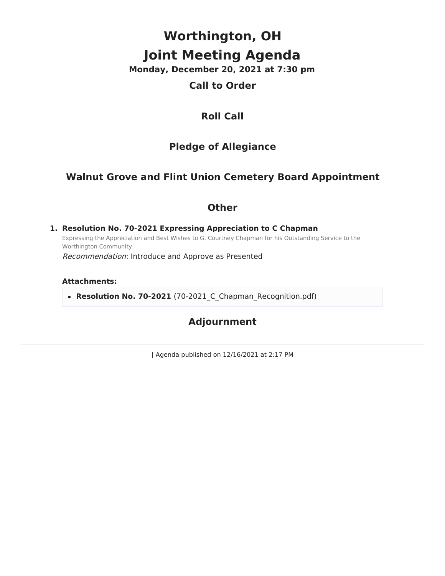# **Worthington, OH Joint Meeting Agenda**

**Monday, December 20, 2021 at 7:30 pm**

### **Call to Order**

# **Roll Call**

# **Pledge of Allegiance**

# **Walnut Grove and Flint Union Cemetery Board Appointment**

#### **Other**

**1. Resolution No. 70-2021 Expressing Appreciation to C Chapman** Expressing the Appreciation and Best Wishes to G. Courtney Chapman for his Outstanding Service to the Worthington Community.

Recommendation: Introduce and Approve as Presented

#### **Attachments:**

• Resolution No. 70-2021 (70-2021 C Chapman Recognition.pdf)

## **Adjournment**

| Agenda published on 12/16/2021 at 2:17 PM